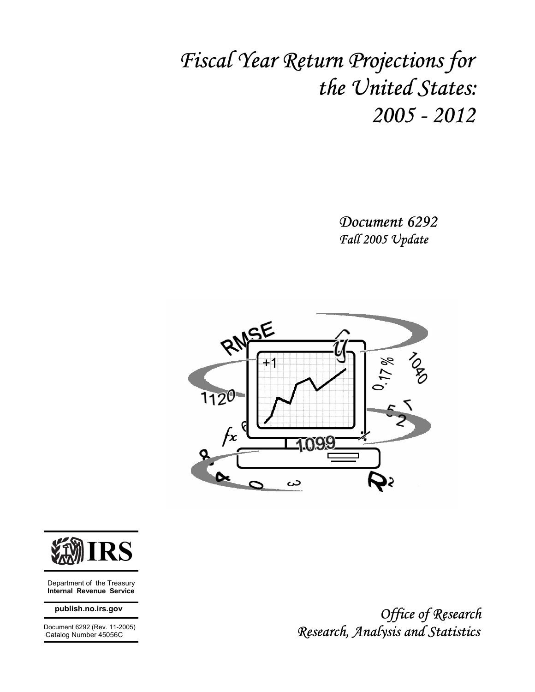# *Fiscal Year Return Projections for the United States: 2005 - 2012*

*Document 6292 Fall 2005 Update* 





 Department of the Treasury **Internal Revenue Service** 

#### **publish.no.irs.gov**

 Document 6292 (Rev. 11-2005) Catalog Number 45056C

 *Office of Research Research, Analysis and Statistics*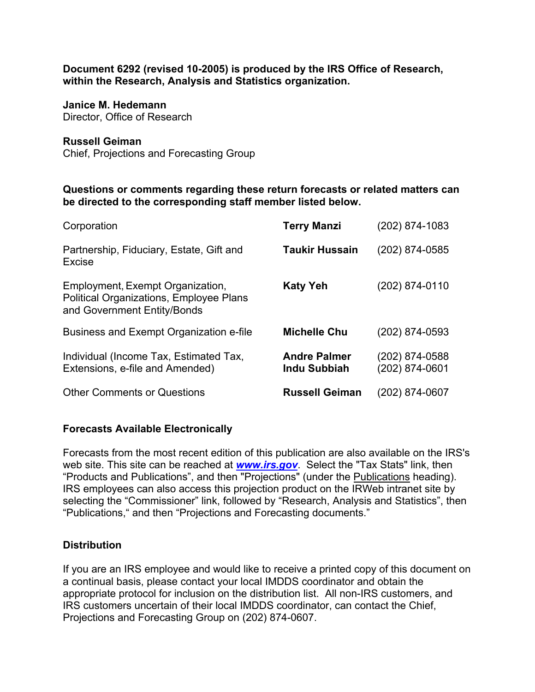**Document 6292 (revised 10-2005) is produced by the IRS Office of Research, within the Research, Analysis and Statistics organization.** 

#### **Janice M. Hedemann**

Director, Office of Research

#### **Russell Geiman**

Chief, Projections and Forecasting Group

#### **Questions or comments regarding these return forecasts or related matters can be directed to the corresponding staff member listed below.**

| Corporation                                                                                                | <b>Terry Manzi</b>                  | (202) 874-1083                   |
|------------------------------------------------------------------------------------------------------------|-------------------------------------|----------------------------------|
| Partnership, Fiduciary, Estate, Gift and<br>Excise                                                         | <b>Taukir Hussain</b>               | (202) 874-0585                   |
| Employment, Exempt Organization,<br>Political Organizations, Employee Plans<br>and Government Entity/Bonds | <b>Katy Yeh</b>                     | (202) 874-0110                   |
| Business and Exempt Organization e-file                                                                    | <b>Michelle Chu</b>                 | (202) 874-0593                   |
| Individual (Income Tax, Estimated Tax,<br>Extensions, e-file and Amended)                                  | <b>Andre Palmer</b><br>Indu Subbiah | (202) 874-0588<br>(202) 874-0601 |
| <b>Other Comments or Questions</b>                                                                         | <b>Russell Geiman</b>               | (202) 874-0607                   |

#### **Forecasts Available Electronically**

Forecasts from the most recent edition of this publication are also available on the IRS's web site. This site can be reached at *www.irs.gov*. Select the "Tax Stats" link, then "Products and Publications", and then "Projections" (under the Publications heading). IRS employees can also access this projection product on the IRWeb intranet site by selecting the "Commissioner" link, followed by "Research, Analysis and Statistics", then "Publications," and then "Projections and Forecasting documents."

#### **Distribution**

If you are an IRS employee and would like to receive a printed copy of this document on a continual basis, please contact your local IMDDS coordinator and obtain the appropriate protocol for inclusion on the distribution list. All non-IRS customers, and IRS customers uncertain of their local IMDDS coordinator, can contact the Chief, Projections and Forecasting Group on (202) 874-0607.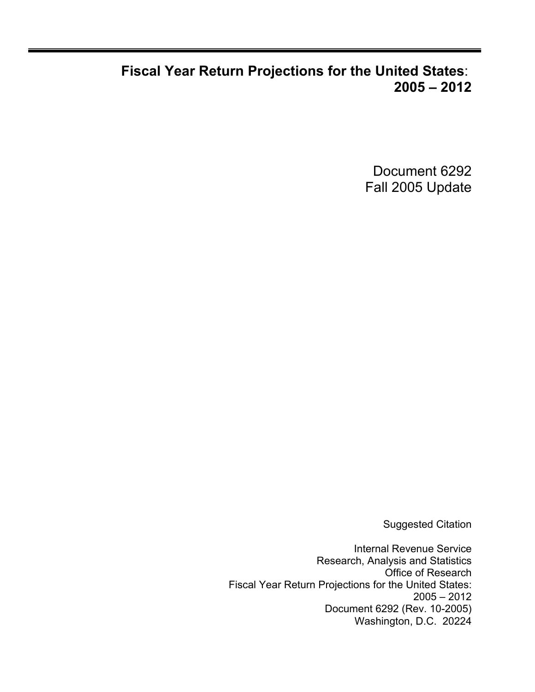## **Fiscal Year Return Projections for the United States**: **2005 – 2012**

Document 6292 Fall 2005 Update

Suggested Citation

Internal Revenue Service Research, Analysis and Statistics Office of Research Fiscal Year Return Projections for the United States: 2005 – 2012 Document 6292 (Rev. 10-2005) Washington, D.C. 20224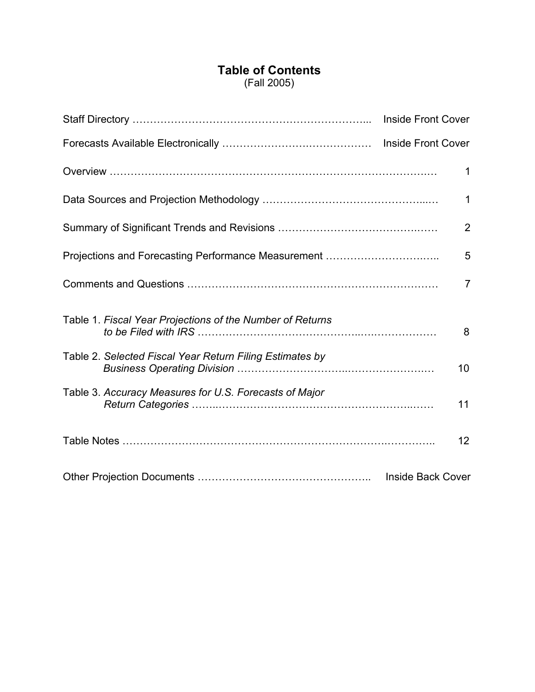## **Table of Contents** (Fall 2005)

|                                                           | Inside Front Cover       |
|-----------------------------------------------------------|--------------------------|
|                                                           |                          |
|                                                           | 1                        |
|                                                           | $\mathbf 1$              |
|                                                           | $\overline{2}$           |
|                                                           | 5                        |
|                                                           | $\overline{7}$           |
| Table 1. Fiscal Year Projections of the Number of Returns | 8                        |
| Table 2. Selected Fiscal Year Return Filing Estimates by  | 10                       |
| Table 3. Accuracy Measures for U.S. Forecasts of Major    | 11                       |
|                                                           | 12                       |
|                                                           | <b>Inside Back Cover</b> |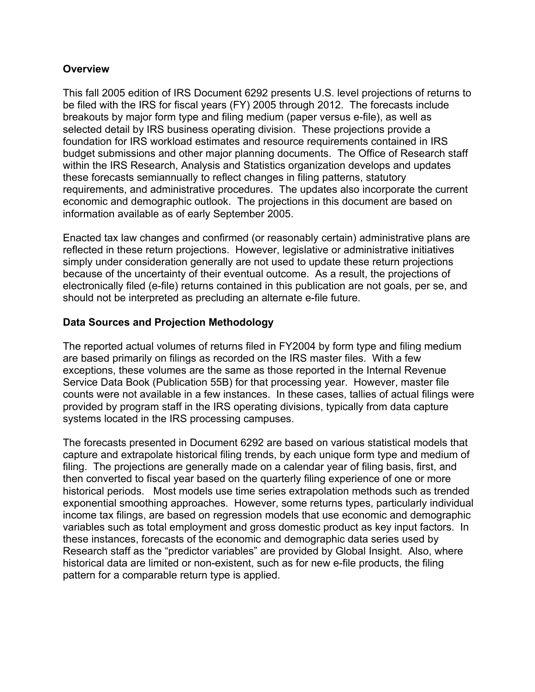#### **Overview**

This fall 2005 edition of IRS Document 6292 presents U.S. level projections of returns to be filed with the IRS for fiscal years (FY) 2005 through 2012. The forecasts include breakouts by major form type and filing medium (paper versus e-file), as well as selected detail by IRS business operating division. These projections provide a foundation for IRS workload estimates and resource requirements contained in IRS budget submissions and other major planning documents. The Office of Research staff within the IRS Research, Analysis and Statistics organization develops and updates these forecasts semiannually to reflect changes in filing patterns, statutory requirements, and administrative procedures. The updates also incorporate the current economic and demographic outlook. The projections in this document are based on information available as of early September 2005.

Enacted tax law changes and confirmed (or reasonably certain) administrative plans are reflected in these return projections. However, legislative or administrative initiatives simply under consideration generally are not used to update these return projections because of the uncertainty of their eventual outcome. As a result, the projections of electronically filed (e-file) returns contained in this publication are not goals, per se, and should not be interpreted as precluding an alternate e-file future.

#### **Data Sources and Projection Methodology**

The reported actual volumes of returns filed in FY2004 by form type and filing medium are based primarily on filings as recorded on the IRS master files. With a few exceptions, these volumes are the same as those reported in the Internal Revenue Service Data Book (Publication 55B) for that processing year. However, master file counts were not available in a few instances. In these cases, tallies of actual filings were provided by program staff in the IRS operating divisions, typically from data capture systems located in the IRS processing campuses.

The forecasts presented in Document 6292 are based on various statistical models that capture and extrapolate historical filing trends, by each unique form type and medium of filing. The projections are generally made on a calendar year of filing basis, first, and then converted to fiscal year based on the quarterly filing experience of one or more historical periods. Most models use time series extrapolation methods such as trended exponential smoothing approaches. However, some returns types, particularly individual income tax filings, are based on regression models that use economic and demographic variables such as total employment and gross domestic product as key input factors. In these instances, forecasts of the economic and demographic data series used by Research staff as the "predictor variables" are provided by Global Insight. Also, where historical data are limited or non-existent, such as for new e-file products, the filing pattern for a comparable return type is applied.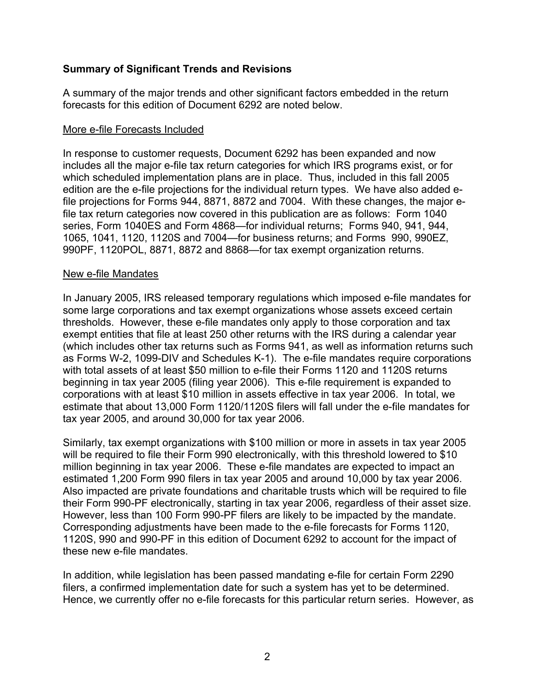#### **Summary of Significant Trends and Revisions**

A summary of the major trends and other significant factors embedded in the return forecasts for this edition of Document 6292 are noted below.

#### More e-file Forecasts Included

In response to customer requests, Document 6292 has been expanded and now includes all the major e-file tax return categories for which IRS programs exist, or for which scheduled implementation plans are in place. Thus, included in this fall 2005 edition are the e-file projections for the individual return types. We have also added efile projections for Forms 944, 8871, 8872 and 7004. With these changes, the major efile tax return categories now covered in this publication are as follows: Form 1040 series, Form 1040ES and Form 4868—for individual returns; Forms 940, 941, 944, 1065, 1041, 1120, 1120S and 7004—for business returns; and Forms 990, 990EZ, 990PF, 1120POL, 8871, 8872 and 8868—for tax exempt organization returns.

#### New e-file Mandates

In January 2005, IRS released temporary regulations which imposed e-file mandates for some large corporations and tax exempt organizations whose assets exceed certain thresholds. However, these e-file mandates only apply to those corporation and tax exempt entities that file at least 250 other returns with the IRS during a calendar year (which includes other tax returns such as Forms 941, as well as information returns such as Forms W-2, 1099-DIV and Schedules K-1). The e-file mandates require corporations with total assets of at least \$50 million to e-file their Forms 1120 and 1120S returns beginning in tax year 2005 (filing year 2006). This e-file requirement is expanded to corporations with at least \$10 million in assets effective in tax year 2006. In total, we estimate that about 13,000 Form 1120/1120S filers will fall under the e-file mandates for tax year 2005, and around 30,000 for tax year 2006.

Similarly, tax exempt organizations with \$100 million or more in assets in tax year 2005 will be required to file their Form 990 electronically, with this threshold lowered to \$10 million beginning in tax year 2006. These e-file mandates are expected to impact an estimated 1,200 Form 990 filers in tax year 2005 and around 10,000 by tax year 2006. Also impacted are private foundations and charitable trusts which will be required to file their Form 990-PF electronically, starting in tax year 2006, regardless of their asset size. However, less than 100 Form 990-PF filers are likely to be impacted by the mandate. Corresponding adjustments have been made to the e-file forecasts for Forms 1120, 1120S, 990 and 990-PF in this edition of Document 6292 to account for the impact of these new e-file mandates.

In addition, while legislation has been passed mandating e-file for certain Form 2290 filers, a confirmed implementation date for such a system has yet to be determined. Hence, we currently offer no e-file forecasts for this particular return series. However, as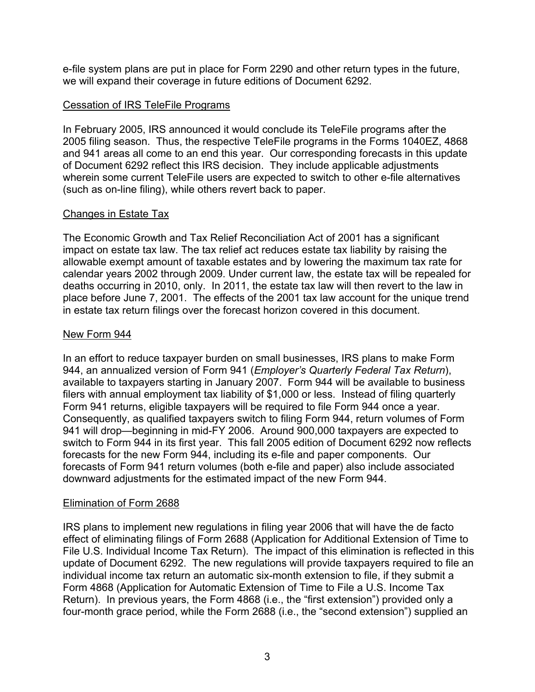e-file system plans are put in place for Form 2290 and other return types in the future, we will expand their coverage in future editions of Document 6292.

#### Cessation of IRS TeleFile Programs

In February 2005, IRS announced it would conclude its TeleFile programs after the 2005 filing season. Thus, the respective TeleFile programs in the Forms 1040EZ, 4868 and 941 areas all come to an end this year. Our corresponding forecasts in this update of Document 6292 reflect this IRS decision. They include applicable adjustments wherein some current TeleFile users are expected to switch to other e-file alternatives (such as on-line filing), while others revert back to paper.

#### Changes in Estate Tax

The Economic Growth and Tax Relief Reconciliation Act of 2001 has a significant impact on estate tax law. The tax relief act reduces estate tax liability by raising the allowable exempt amount of taxable estates and by lowering the maximum tax rate for calendar years 2002 through 2009. Under current law, the estate tax will be repealed for deaths occurring in 2010, only. In 2011, the estate tax law will then revert to the law in place before June 7, 2001. The effects of the 2001 tax law account for the unique trend in estate tax return filings over the forecast horizon covered in this document.

#### New Form 944

In an effort to reduce taxpayer burden on small businesses, IRS plans to make Form 944, an annualized version of Form 941 (*Employer's Quarterly Federal Tax Return*), available to taxpayers starting in January 2007. Form 944 will be available to business filers with annual employment tax liability of \$1,000 or less. Instead of filing quarterly Form 941 returns, eligible taxpayers will be required to file Form 944 once a year. Consequently, as qualified taxpayers switch to filing Form 944, return volumes of Form 941 will drop—beginning in mid-FY 2006. Around 900,000 taxpayers are expected to switch to Form 944 in its first year. This fall 2005 edition of Document 6292 now reflects forecasts for the new Form 944, including its e-file and paper components. Our forecasts of Form 941 return volumes (both e-file and paper) also include associated downward adjustments for the estimated impact of the new Form 944.

#### Elimination of Form 2688

IRS plans to implement new regulations in filing year 2006 that will have the de facto effect of eliminating filings of Form 2688 (Application for Additional Extension of Time to File U.S. Individual Income Tax Return). The impact of this elimination is reflected in this update of Document 6292. The new regulations will provide taxpayers required to file an individual income tax return an automatic six-month extension to file, if they submit a Form 4868 (Application for Automatic Extension of Time to File a U.S. Income Tax Return). In previous years, the Form 4868 (i.e., the "first extension") provided only a four-month grace period, while the Form 2688 (i.e., the "second extension") supplied an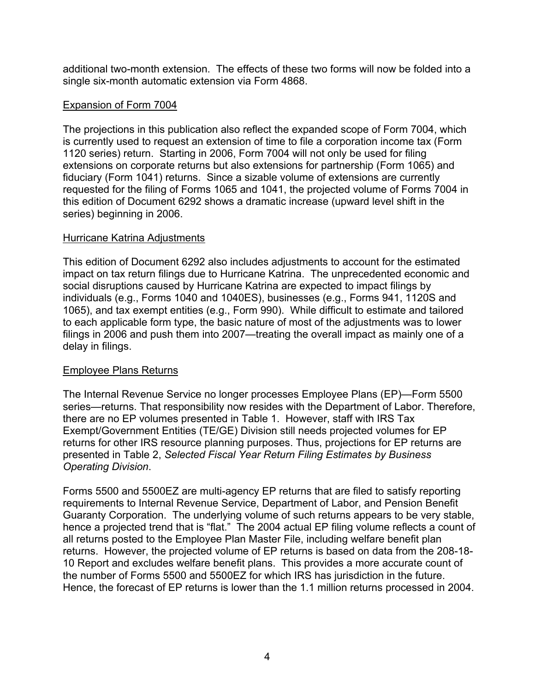additional two-month extension. The effects of these two forms will now be folded into a single six-month automatic extension via Form 4868.

#### Expansion of Form 7004

The projections in this publication also reflect the expanded scope of Form 7004, which is currently used to request an extension of time to file a corporation income tax (Form 1120 series) return. Starting in 2006, Form 7004 will not only be used for filing extensions on corporate returns but also extensions for partnership (Form 1065) and fiduciary (Form 1041) returns. Since a sizable volume of extensions are currently requested for the filing of Forms 1065 and 1041, the projected volume of Forms 7004 in this edition of Document 6292 shows a dramatic increase (upward level shift in the series) beginning in 2006.

#### Hurricane Katrina Adjustments

This edition of Document 6292 also includes adjustments to account for the estimated impact on tax return filings due to Hurricane Katrina. The unprecedented economic and social disruptions caused by Hurricane Katrina are expected to impact filings by individuals (e.g., Forms 1040 and 1040ES), businesses (e.g., Forms 941, 1120S and 1065), and tax exempt entities (e.g., Form 990). While difficult to estimate and tailored to each applicable form type, the basic nature of most of the adjustments was to lower filings in 2006 and push them into 2007—treating the overall impact as mainly one of a delay in filings.

## Employee Plans Returns

The Internal Revenue Service no longer processes Employee Plans (EP)—Form 5500 series—returns. That responsibility now resides with the Department of Labor. Therefore, there are no EP volumes presented in Table 1. However, staff with IRS Tax Exempt/Government Entities (TE/GE) Division still needs projected volumes for EP returns for other IRS resource planning purposes. Thus, projections for EP returns are presented in Table 2, *Selected Fiscal Year Return Filing Estimates by Business Operating Division*.

Forms 5500 and 5500EZ are multi-agency EP returns that are filed to satisfy reporting requirements to Internal Revenue Service, Department of Labor, and Pension Benefit Guaranty Corporation. The underlying volume of such returns appears to be very stable, hence a projected trend that is "flat." The 2004 actual EP filing volume reflects a count of all returns posted to the Employee Plan Master File, including welfare benefit plan returns. However, the projected volume of EP returns is based on data from the 208-18- 10 Report and excludes welfare benefit plans. This provides a more accurate count of the number of Forms 5500 and 5500EZ for which IRS has jurisdiction in the future. Hence, the forecast of EP returns is lower than the 1.1 million returns processed in 2004.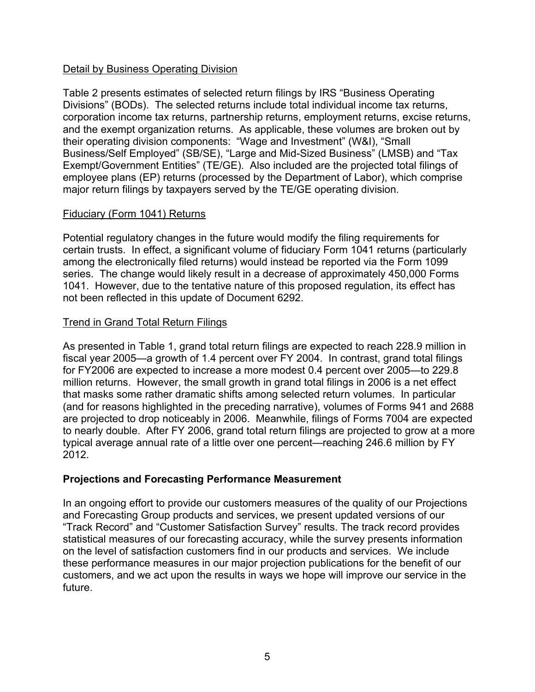#### Detail by Business Operating Division

Table 2 presents estimates of selected return filings by IRS "Business Operating Divisions" (BODs). The selected returns include total individual income tax returns, corporation income tax returns, partnership returns, employment returns, excise returns, and the exempt organization returns. As applicable, these volumes are broken out by their operating division components: "Wage and Investment" (W&I), "Small Business/Self Employed" (SB/SE), "Large and Mid-Sized Business" (LMSB) and "Tax Exempt/Government Entities" (TE/GE). Also included are the projected total filings of employee plans (EP) returns (processed by the Department of Labor), which comprise major return filings by taxpayers served by the TE/GE operating division.

#### Fiduciary (Form 1041) Returns

Potential regulatory changes in the future would modify the filing requirements for certain trusts. In effect, a significant volume of fiduciary Form 1041 returns (particularly among the electronically filed returns) would instead be reported via the Form 1099 series. The change would likely result in a decrease of approximately 450,000 Forms 1041. However, due to the tentative nature of this proposed regulation, its effect has not been reflected in this update of Document 6292.

#### Trend in Grand Total Return Filings

As presented in Table 1, grand total return filings are expected to reach 228.9 million in fiscal year 2005—a growth of 1.4 percent over FY 2004. In contrast, grand total filings for FY2006 are expected to increase a more modest 0.4 percent over 2005—to 229.8 million returns. However, the small growth in grand total filings in 2006 is a net effect that masks some rather dramatic shifts among selected return volumes. In particular (and for reasons highlighted in the preceding narrative), volumes of Forms 941 and 2688 are projected to drop noticeably in 2006. Meanwhile, filings of Forms 7004 are expected to nearly double. After FY 2006, grand total return filings are projected to grow at a more typical average annual rate of a little over one percent—reaching 246.6 million by FY 2012.

#### **Projections and Forecasting Performance Measurement**

In an ongoing effort to provide our customers measures of the quality of our Projections and Forecasting Group products and services, we present updated versions of our "Track Record" and "Customer Satisfaction Survey" results. The track record provides statistical measures of our forecasting accuracy, while the survey presents information on the level of satisfaction customers find in our products and services. We include these performance measures in our major projection publications for the benefit of our customers, and we act upon the results in ways we hope will improve our service in the future.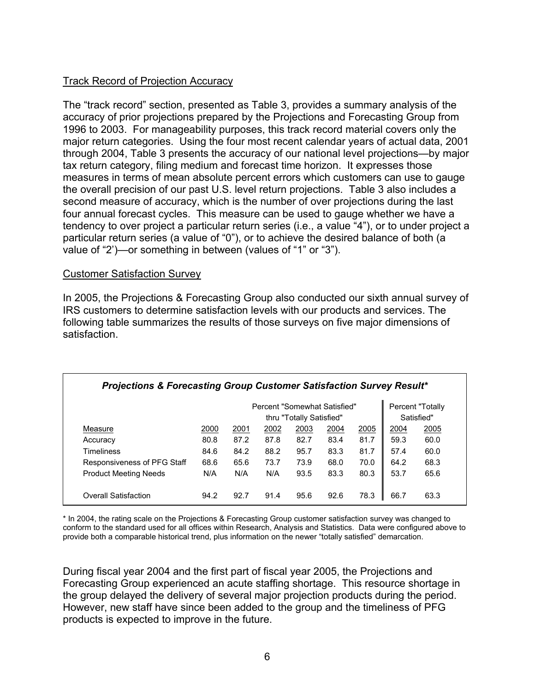#### Track Record of Projection Accuracy

The "track record" section, presented as Table 3, provides a summary analysis of the accuracy of prior projections prepared by the Projections and Forecasting Group from 1996 to 2003. For manageability purposes, this track record material covers only the major return categories. Using the four most recent calendar years of actual data, 2001 through 2004, Table 3 presents the accuracy of our national level projections—by major tax return category, filing medium and forecast time horizon. It expresses those measures in terms of mean absolute percent errors which customers can use to gauge the overall precision of our past U.S. level return projections. Table 3 also includes a second measure of accuracy, which is the number of over projections during the last four annual forecast cycles. This measure can be used to gauge whether we have a tendency to over project a particular return series (i.e., a value "4"), or to under project a particular return series (a value of "0"), or to achieve the desired balance of both (a value of "2')—or something in between (values of "1" or "3").

#### Customer Satisfaction Survey

In 2005, the Projections & Forecasting Group also conducted our sixth annual survey of IRS customers to determine satisfaction levels with our products and services. The following table summarizes the results of those surveys on five major dimensions of satisfaction.

| Projections & Forecasting Group Customer Satisfaction Survey Result* |      |                          |                              |      |      |      |      |                  |
|----------------------------------------------------------------------|------|--------------------------|------------------------------|------|------|------|------|------------------|
|                                                                      |      |                          | Percent "Somewhat Satisfied" |      |      |      |      | Percent "Totally |
|                                                                      |      | thru "Totally Satisfied" |                              |      |      |      |      |                  |
| Measure                                                              | 2000 | 2001                     | 2002                         | 2003 | 2004 | 2005 | 2004 | 2005             |
| Accuracy                                                             | 80.8 | 87.2                     | 87.8                         | 82.7 | 83.4 | 81.7 | 59.3 | 60.0             |
| Timeliness                                                           | 84.6 | 84.2                     | 88.2                         | 95.7 | 83.3 | 81.7 | 57.4 | 60.0             |
| Responsiveness of PFG Staff                                          | 68.6 | 65.6                     | 73.7                         | 73.9 | 68.0 | 70.0 | 64.2 | 68.3             |
| <b>Product Meeting Needs</b>                                         | N/A  | N/A                      | N/A                          | 93.5 | 83.3 | 80.3 | 53.7 | 65.6             |
| Overall Satisfaction                                                 | 94.2 | 92.7                     | 91.4                         | 95.6 | 92.6 | 78.3 | 66.7 | 63.3             |

\* In 2004, the rating scale on the Projections & Forecasting Group customer satisfaction survey was changed to conform to the standard used for all offices within Research, Analysis and Statistics. Data were configured above to provide both a comparable historical trend, plus information on the newer "totally satisfied" demarcation.

During fiscal year 2004 and the first part of fiscal year 2005, the Projections and Forecasting Group experienced an acute staffing shortage. This resource shortage in the group delayed the delivery of several major projection products during the period. However, new staff have since been added to the group and the timeliness of PFG products is expected to improve in the future.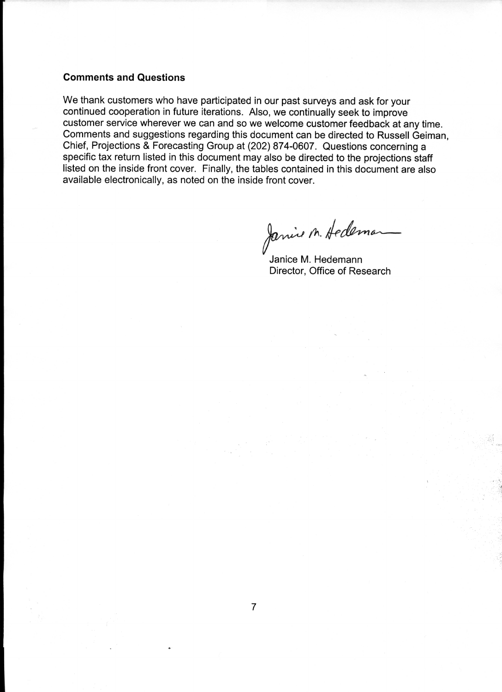#### **Comments and Questions**

We thank customers who have participated in our past surveys and ask for your continued cooperation in future iterations. Also, we continually seek to improve customer service wherever we can and so we welcome customer feedback at any time. Comments and suggestions regarding this document can be directed to Russell Geiman, Chief, Projections & Forecasting Group at (202) 874-0607. Questions concerning a specific tax return listed in this document may also be directed to the projections staff listed on the inside front cover. Finally, the tables contained in this document are also available electronically, as noted on the inside front cover.

Janie M. Hedeman

Janice M. Hedemann Director, Office of Research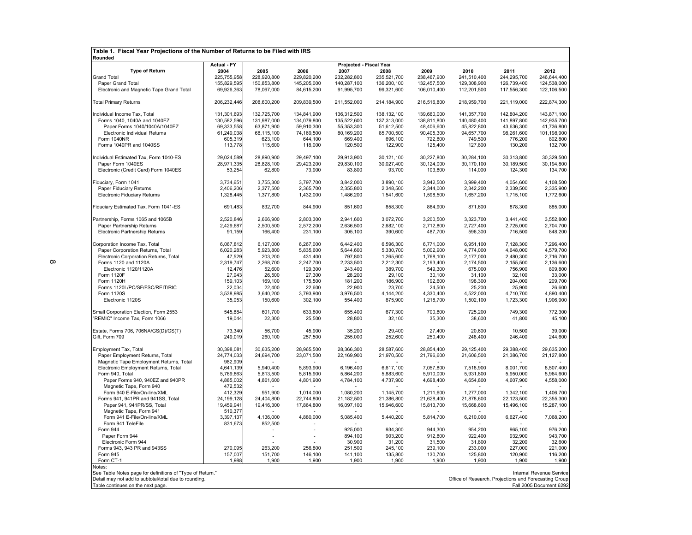| Table 1. Fiscal Year Projections of the Number of Returns to be Filed with IRS |                     |                     |                     |                         |                     |                     |                                                       |                     |                          |
|--------------------------------------------------------------------------------|---------------------|---------------------|---------------------|-------------------------|---------------------|---------------------|-------------------------------------------------------|---------------------|--------------------------|
| Rounded                                                                        |                     |                     |                     |                         |                     |                     |                                                       |                     |                          |
|                                                                                | <b>Actual - FY</b>  |                     |                     | Projected - Fiscal Year |                     |                     |                                                       |                     |                          |
| <b>Type of Return</b><br><b>Grand Total</b>                                    | 2004<br>225,755,958 | 2005<br>228,920,800 | 2006<br>229,820,200 | 2007<br>232,282,800     | 2008<br>235,521,700 | 2009<br>238,467,900 | 2010<br>241,510,400                                   | 2011<br>244,295,700 | 2012<br>246,644,400      |
| Paper Grand Total                                                              | 155,829,595         | 150,853,800         | 145,205,000         | 140,287,100             | 136,200,100         | 132,457,500         | 129,308,900                                           | 126,739,400         | 124,538,000              |
| Electronic and Magnetic Tape Grand Total                                       | 69,926,363          | 78,067,000          | 84,615,200          | 91,995,700              | 99,321,600          | 106,010,400         | 112,201,500                                           | 117,556,300         | 122,106,500              |
|                                                                                |                     |                     |                     |                         |                     |                     |                                                       |                     |                          |
| <b>Total Primary Returns</b>                                                   | 206,232,446         | 208,600,200         | 209,839,500         | 211,552,000             | 214,184,900         | 216,516,800         | 218,959,700                                           | 221,119,000         | 222,874,300              |
| Individual Income Tax, Total                                                   | 131,301,693         | 132,725,700         | 134,841,900         | 136,312,500             | 138, 132, 100       | 139,660,000         | 141,357,700                                           | 142,804,200         | 143,871,100              |
| Forms 1040, 1040A and 1040EZ                                                   | 130,582,596         | 131,987,000         | 134,079,800         | 135,522,600             | 137,313,000         | 138,811,800         | 140,480,400                                           | 141,897,800         | 142,935,700              |
| Paper Forms 1040/1040A/1040EZ                                                  | 69,333,558          | 63,871,900          | 59,910,300          | 55,353,300              | 51,612,500          | 48,406,600          | 45,822,800                                            | 43,636,300          | 41,736,800               |
| Electronic Individual Returns                                                  | 61,249,038          | 68,115,100          | 74,169,500          | 80,169,200              | 85,700,500          | 90,405,300          | 94,657,700                                            | 98,261,600          | 101.198.900              |
| <b>Form 1040NR</b>                                                             | 605,319             | 623,100             | 644,100             | 669,400                 | 696,100             | 722,800             | 749,500                                               | 776,200             | 802,800                  |
| Forms 1040PR and 1040SS                                                        | 113,778             | 115,600             | 118,000             | 120,500                 | 122,900             | 125,400             | 127,800                                               | 130,200             | 132,700                  |
| Individual Estimated Tax, Form 1040-ES                                         | 29,024,589          | 28,890,900          | 29,497,100          | 29,913,900              | 30,121,100          | 30,227,800          | 30,284,100                                            | 30,313,800          | 30,329,500               |
| Paper Form 1040ES                                                              | 28,971,335          | 28.828.100          | 29.423.200          | 29.830.100              | 30.027.400          | 30.124.000          | 30.170.100                                            | 30.189.500          | 30.194.800               |
| Electronic (Credit Card) Form 1040ES                                           | 53,254              | 62,800              | 73,900              | 83,800                  | 93,700              | 103,800             | 114,000                                               | 124,300             | 134,700                  |
| Fiduciary, Form 1041                                                           | 3,734,651           | 3,755,300           | 3,797,700           | 3,842,000               | 3,890,100           | 3,942,500           | 3,999,400                                             | 4,054,600           | 4,108,500                |
| Paper Fiduciary Returns                                                        | 2,406,206           | 2,377,500           | 2,365,700           | 2,355,800               | 2,348,500           | 2,344,000           | 2,342,200                                             | 2,339,500           | 2,335,900                |
| <b>Electronic Fiduciary Returns</b>                                            | 1,328,445           | 1,377,800           | 1,432,000           | 1,486,200               | 1,541,600           | 1,598,500           | 1,657,200                                             | 1,715,100           | 1,772,600                |
| Fiduciary Estimated Tax, Form 1041-ES                                          | 691,483             | 832,700             | 844,900             | 851,600                 | 858,300             | 864,900             | 871,600                                               | 878,300             | 885,000                  |
|                                                                                |                     |                     |                     |                         |                     |                     |                                                       |                     |                          |
| Partnership, Forms 1065 and 1065B                                              | 2,520,846           | 2,666,900           | 2,803,300           | 2,941,600               | 3,072,700           | 3,200,500           | 3,323,700                                             | 3,441,400           | 3,552,800                |
| Paper Partnership Returns                                                      | 2,429,687           | 2,500,500           | 2,572,200           | 2,636,500               | 2,682,100           | 2,712,800           | 2,727,400                                             | 2,725,000           | 2,704,700                |
| <b>Electronic Partnership Returns</b>                                          | 91,159              | 166,400             | 231,100             | 305,100                 | 390,600             | 487,700             | 596,300                                               | 716,500             | 848,200                  |
| Corporation Income Tax, Total                                                  | 6,067,812           | 6,127,000           | 6,267,000           | 6,442,400               | 6,596,300           | 6,771,000           | 6,951,100                                             | 7,128,300           | 7,296,400                |
| Paper Corporation Returns, Total                                               | 6,020,283           | 5,923,800           | 5,835,600           | 5,644,600               | 5,330,700           | 5,002,900           | 4,774,000                                             | 4,648,000           | 4,579,700                |
| Electronic Corporation Returns, Total                                          | 47,529              | 203,200             | 431,400             | 797,800                 | 1,265,600           | 1,768,100           | 2,177,000                                             | 2,480,300           | 2,716,700                |
| Forms 1120 and 1120A                                                           | 2,319,747           | 2,268,700           | 2,247,700           | 2,233,500               | 2,212,300           | 2,193,400           | 2,174,500                                             | 2,155,500           | 2,136,600                |
| Electronic 1120/1120A                                                          | 12,476              | 52,600              | 129,300             | 243,400                 | 389.700             | 549,300             | 675,000                                               | 756,900             | 809,800                  |
| Form 1120F                                                                     | 27,943              | 26,500              | 27,300              | 28,200                  | 29,100              | 30,100              | 31,100                                                | 32,100              | 33,000                   |
| Form 1120H                                                                     | 159,103             | 169,100             | 175,500             | 181,200                 | 186,900             | 192,600             | 198,300                                               | 204,000             | 209,700                  |
| Forms 1120L/PC/SF/FSC/REIT/RIC                                                 | 22,034              | 22,400              | 22,600              | 22,900                  | 23,700              | 24,500              | 25,200                                                | 25,900              | 26,600                   |
| Form 1120S                                                                     | 3,538,985           | 3,640,200           | 3,793,900           | 3,976,500               | 4,144,200           | 4,330,400           | 4,522,000                                             | 4,710,700           | 4,890,400                |
| Electronic 1120S                                                               | 35,053              | 150,600             | 302,100             | 554,400                 | 875,900             | 1,218,700           | 1,502,100                                             | 1,723,300           | 1,906,900                |
| Small Corporation Election, Form 2553                                          | 545.884             | 601.700             | 633.800             | 655,400                 | 677,300             | 700,800             | 725,200                                               | 749.300             | 772.300                  |
| "REMIC" Income Tax, Form 1066                                                  | 19,044              | 22,300              | 25,500              | 28,800                  | 32,100              | 35,300              | 38,600                                                | 41,800              | 45,100                   |
| Estate, Forms 706, 706NA/GS(D)/GS(T)                                           | 73,340              | 56,700              | 45,900              | 35,200                  | 29,400              | 27,400              | 20,600                                                | 10,500              | 39,000                   |
| Gift, Form 709                                                                 | 249,019             | 260,100             | 257,500             | 255,000                 | 252,600             | 250,400             | 248,400                                               | 246,400             | 244,600                  |
| Employment Tax, Total                                                          | 30,398,081          | 30,635,200          | 28,965,500          | 28,366,300              | 28.587.600          | 28,854,400          | 29,125,400                                            | 29,388,400          | 29,635,200               |
| Paper Employment Returns, Total                                                | 24,774,033          | 24,694,700          | 23,071,500          | 22,169,900              | 21,970,500          | 21,796,600          | 21,606,500                                            | 21,386,700          | 21,127,800               |
| Magnetic Tape Employment Returns, Total                                        | 982,909             |                     |                     |                         |                     |                     |                                                       |                     |                          |
| Electronic Employment Returns, Total                                           | 4,641,139           | 5,940,400           | 5,893,900           | 6,196,400               | 6,617,100           | 7,057,800           | 7,518,900                                             | 8,001,700           | 8,507,400                |
| Form 940. Total                                                                | 5,769,863           | 5,813,500           | 5.815.900           | 5,864,200               | 5.883.600           | 5,910,000           | 5,931,800                                             | 5.950.000           | 5.964.600                |
| Paper Forms 940, 940EZ and 940PR                                               | 4,885,002           | 4,861,600           | 4,801,900           | 4,784,100               | 4,737,900           | 4,698,400           | 4,654,800                                             | 4,607,900           | 4,558,000                |
| Magnetic Tape, Form 940                                                        | 472,532             |                     |                     |                         |                     |                     |                                                       |                     |                          |
| Form 940 E-File/On-line/XML                                                    | 412,329             | 951,900             | 1,014,000           | 1,080,200               | 1,145,700           | 1,211,600           | 1,277,000                                             | 1,342,100           | 1,406,700                |
| Forms 941, 941PR and 941SS, Total                                              | 24, 199, 128        | 24,404,800          | 22,744,800          | 21,182,500              | 21,386,800          | 21,628,400          | 21,878,600                                            | 22,123,500          | 22,355,300               |
| Paper 941, 941PR/SS, Total                                                     | 19,459,941          | 19,416,300          | 17,864,800          | 16,097,100              | 15,946,600          | 15,813,700          | 15,668,600                                            | 15,496,100          | 15,287,100               |
| Magnetic Tape, Form 941                                                        | 510,377             |                     |                     |                         |                     |                     |                                                       |                     |                          |
| Form 941 E-File/On-line/XML                                                    | 3,397,137           | 4,136,000           | 4,880,000           | 5,085,400               | 5,440,200           | 5,814,700           | 6,210,000                                             | 6,627,400           | 7,068,200                |
| Form 941 TeleFile                                                              | 831,673             | 852,500             |                     |                         |                     |                     |                                                       |                     |                          |
| Form 944                                                                       |                     |                     |                     | 925,000                 | 934,300             | 944,300             | 954,200                                               | 965,100             | 976,200                  |
| Paper Form 944                                                                 |                     |                     |                     | 894,100                 | 903,200             | 912,800             | 922,400                                               | 932,900             | 943,700                  |
| Electronic Form 944                                                            |                     |                     |                     | 30,900                  | 31,200              | 31,500              | 31,800                                                | 32,200              | 32,600                   |
| Forms 943, 943 PR and 943SS                                                    | 270.095             | 263,200             | 256,800             | 251,500                 | 245,100             | 239,100             | 233,000                                               | 227,000             | 221,000                  |
| Form 945                                                                       | 157,007             | 151,700             | 146,100             | 141,100                 | 135,800             | 130,700             | 125,800                                               | 120,900             | 116,200                  |
| Form CT-1                                                                      | 1,988               | 1,900               | 1,900               | 1,900                   | 1,900               | 1,900               | 1,900                                                 | 1,900               | 1,900                    |
| Notes:<br>See Table Notes page for definitions of "Type of Return."            |                     |                     |                     |                         |                     |                     |                                                       |                     | Internal Revenue Service |
| Detail may not add to subtotal/total due to rounding.                          |                     |                     |                     |                         |                     |                     | Office of Research, Projections and Forecasting Group |                     |                          |
| Table continues on the next page.                                              |                     |                     |                     |                         |                     |                     |                                                       |                     | Fall 2005 Document 6292  |
|                                                                                |                     |                     |                     |                         |                     |                     |                                                       |                     |                          |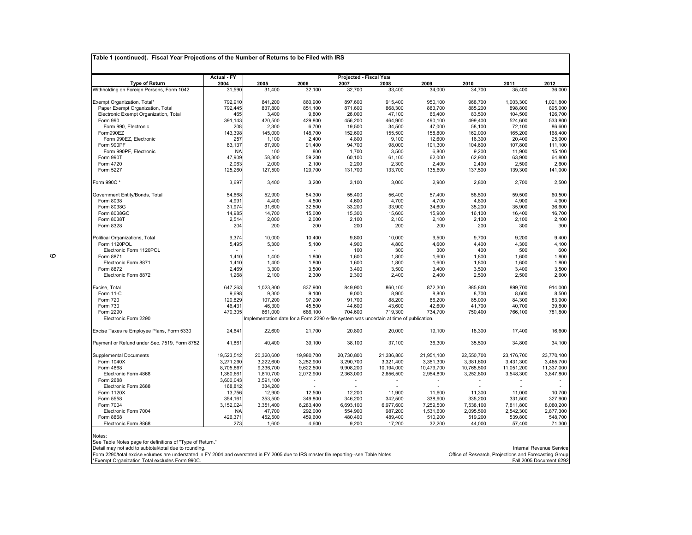|                                                                                                                                        | <b>Actual - FY</b> |            |            | Projected - Fiscal Year |                                                                                         |                  |                                                       |            |                          |
|----------------------------------------------------------------------------------------------------------------------------------------|--------------------|------------|------------|-------------------------|-----------------------------------------------------------------------------------------|------------------|-------------------------------------------------------|------------|--------------------------|
| <b>Type of Return</b>                                                                                                                  | 2004               | 2005       | 2006       | 2007                    | 2008                                                                                    | 2009             | 2010                                                  | 2011       | 2012                     |
| Withholding on Foreign Persons, Form 1042                                                                                              | 31,590             | 31,400     | 32,100     | 32,700                  | 33,400                                                                                  | 34,000           | 34,700                                                | 35,400     | 36,000                   |
| Exempt Organization, Total*                                                                                                            | 792,910            | 841,200    | 860,900    | 897,600                 | 915,400                                                                                 | 950,100          | 968,700                                               | 1,003,300  | 1,021,800                |
| Paper Exempt Organization, Total                                                                                                       | 792,445            | 837,800    | 851,100    | 871,600                 | 868,300                                                                                 | 883,700          | 885,200                                               | 898,800    | 895,000                  |
| Electronic Exempt Organization, Total                                                                                                  | 465                | 3,400      | 9,800      | 26,000                  | 47,100                                                                                  | 66,400           | 83,500                                                | 104,500    | 126,700                  |
| Form 990                                                                                                                               | 391,143            | 420,500    | 429,800    | 456,200                 | 464,900                                                                                 | 490,100          | 499,400                                               | 524,600    | 533,800                  |
| Form 990, Electronic                                                                                                                   | 208                | 2,300      | 6,700      | 19,500                  | 34,500                                                                                  | 47,000           | 58,100                                                | 72,100     | 86,600                   |
| Form990EZ                                                                                                                              | 143,398            | 145,000    | 148,700    | 152,600                 | 155,500                                                                                 | 158,800          | 162,000                                               | 165,200    | 168,400                  |
| Form 990EZ, Electronic                                                                                                                 | 257                | 1,100      | 2,400      | 4,800                   | 9,100                                                                                   | 12,600           | 16,300                                                | 20,400     | 25,000                   |
| Form 990PF                                                                                                                             | 83,137             | 87,900     | 91,400     | 94,700                  | 98,000                                                                                  | 101,300          | 104,600                                               | 107,800    | 111,100                  |
| Form 990PF, Electronic                                                                                                                 | <b>NA</b>          | 100        | 800        | 1,700                   | 3,500                                                                                   | 6,800            | 9,200                                                 | 11,900     | 15,100                   |
| Form 990T                                                                                                                              | 47,909             | 58,300     | 59,200     | 60,100                  | 61,100                                                                                  | 62,000           | 62,900                                                | 63,900     | 64,800                   |
| Form 4720                                                                                                                              | 2,063              | 2,000      | 2,100      | 2,200                   | 2,300                                                                                   |                  | 2,400                                                 | 2,500      | 2,600                    |
| Form 5227                                                                                                                              |                    | 127,500    | 129,700    | 131,700                 | 133,700                                                                                 | 2,400<br>135,600 | 137,500                                               | 139,300    | 141,000                  |
|                                                                                                                                        | 125,260            |            |            |                         |                                                                                         |                  |                                                       |            |                          |
| Form 990C*                                                                                                                             | 3,697              | 3,400      | 3,200      | 3,100                   | 3,000                                                                                   | 2,900            | 2,800                                                 | 2,700      | 2,500                    |
| Government Entity/Bonds, Total                                                                                                         | 54,668             | 52,900     | 54,300     | 55,400                  | 56,400                                                                                  | 57,400           | 58,500                                                | 59,500     | 60,500                   |
| Form 8038                                                                                                                              | 4,991              | 4,400      | 4,500      | 4,600                   | 4,700                                                                                   | 4,700            | 4,800                                                 | 4,900      | 4,900                    |
| Form 8038G                                                                                                                             | 31,974             | 31,600     | 32,500     | 33,200                  | 33,900                                                                                  | 34,600           | 35,200                                                | 35,900     | 36,600                   |
| Form 8038GC                                                                                                                            | 14,985             | 14,700     | 15,000     | 15,300                  | 15,600                                                                                  | 15,900           | 16,100                                                | 16,400     | 16,700                   |
| Form 8038T                                                                                                                             | 2,514              | 2,000      | 2,000      | 2,100                   | 2,100                                                                                   | 2,100            | 2,100                                                 | 2,100      | 2,100                    |
| Form 8328                                                                                                                              | 204                | 200        | 200        | 200                     | 200                                                                                     | 200              | 200                                                   | 300        | 300                      |
|                                                                                                                                        |                    |            |            |                         |                                                                                         |                  |                                                       |            |                          |
| Political Organizations, Total                                                                                                         | 9,374              | 10,000     | 10,400     | 9,800                   | 10,000                                                                                  | 9,500            | 9,700                                                 | 9,200      | 9,400                    |
| Form 1120POL                                                                                                                           | 5,495              | 5,300      | 5,100      | 4,900                   | 4,800                                                                                   | 4,600            | 4,400                                                 | 4,300      | 4,100                    |
| Electronic Form 1120POL                                                                                                                |                    |            |            | 100                     | 300                                                                                     | 300              | 400                                                   | 500        | 600                      |
| Form 8871                                                                                                                              | 1,410              | 1,400      | 1,800      | 1,600                   | 1,800                                                                                   | 1,600            | 1,800                                                 | 1,600      | 1,800                    |
| Electronic Form 8871                                                                                                                   | 1,410              | 1,400      | 1,800      | 1,600                   | 1,800                                                                                   | 1,600            | 1,800                                                 | 1,600      | 1,800                    |
| Form 8872                                                                                                                              | 2,469              | 3,300      | 3,500      | 3,400                   | 3,500                                                                                   | 3,400            | 3,500                                                 | 3,400      | 3,500                    |
| Electronic Form 8872                                                                                                                   | 1,268              | 2,100      | 2,300      | 2,300                   | 2,400                                                                                   | 2,400            | 2,500                                                 | 2,500      | 2,600                    |
| Excise, Total                                                                                                                          | 647,263            | 1,023,800  | 837,900    | 849,900                 | 860,100                                                                                 | 872,300          | 885,800                                               | 899,700    | 914,000                  |
| Form 11-C                                                                                                                              | 9,698              | 9,300      | 9,100      | 9,000                   | 8,900                                                                                   | 8,800            | 8,700                                                 | 8,600      | 8,500                    |
| Form 720                                                                                                                               | 120,829            | 107,200    | 97,200     | 91,700                  | 88,200                                                                                  | 86,200           | 85,000                                                | 84,300     | 83,900                   |
| Form 730                                                                                                                               | 46,431             | 46,300     | 45,500     | 44,600                  | 43,600                                                                                  | 42,600           | 41,700                                                | 40,700     | 39,800                   |
| Form 2290                                                                                                                              | 470,305            | 861,000    | 686,100    | 704,600                 | 719,300                                                                                 | 734,700          | 750,400                                               | 766,100    | 781,800                  |
| Electronic Form 2290                                                                                                                   |                    |            |            |                         | Implementation date for a Form 2290 e-file system was uncertain at time of publication. |                  |                                                       |            |                          |
|                                                                                                                                        |                    |            |            |                         |                                                                                         |                  |                                                       |            |                          |
| Excise Taxes re Employee Plans, Form 5330                                                                                              | 24,641             | 22,600     | 21,700     | 20,800                  | 20,000                                                                                  | 19,100           | 18,300                                                | 17,400     | 16,600                   |
| Payment or Refund under Sec. 7519, Form 8752                                                                                           | 41,861             | 40,400     | 39,100     | 38,100                  | 37,100                                                                                  | 36,300           | 35,500                                                | 34,800     | 34,100                   |
| <b>Supplemental Documents</b>                                                                                                          | 19,523,512         | 20,320,600 | 19,980,700 | 20,730,800              | 21,336,800                                                                              | 21,951,100       | 22,550,700                                            | 23,176,700 | 23,770,100               |
| Form 1040X                                                                                                                             | 3,271,290          | 3,222,600  | 3,252,900  | 3,290,700               | 3,321,400                                                                               | 3,351,300        | 3,381,600                                             | 3,431,300  | 3,465,700                |
| Form 4868                                                                                                                              | 8,705,867          | 9,336,700  | 9,622,500  | 9,908,200               | 10,194,000                                                                              | 10,479,700       | 10,765,500                                            | 11,051,200 | 11,337,000               |
| Electronic Form 4868                                                                                                                   | 1,360,661          | 1,810,700  | 2,072,900  | 2,363,000               | 2,656,500                                                                               | 2,954,800        | 3,252,800                                             | 3,548,300  | 3,847,800                |
| Form 2688                                                                                                                              | 3,600,043          | 3,591,100  | ٠          |                         | $\overline{\phantom{a}}$                                                                |                  |                                                       |            |                          |
| Electronic Form 2688                                                                                                                   | 168,812            | 334,200    |            |                         |                                                                                         |                  |                                                       |            |                          |
| Form 1120X                                                                                                                             | 13,756             | 12,900     | 12,500     | 12,200                  | 11,900                                                                                  | 11,600           | 11,300                                                | 11,000     | 10,700                   |
| Form 5558                                                                                                                              | 354,161            | 353,500    | 349,800    | 346,200                 | 342,500                                                                                 | 338,900          | 335,200                                               | 331,500    | 327,900                  |
| Form 7004                                                                                                                              | 3,152,024          | 3,351,400  | 6,283,400  | 6,693,100               | 6,977,600                                                                               | 7,259,500        | 7,538,100                                             | 7,811,800  | 8,080,200                |
| Electronic Form 7004                                                                                                                   | <b>NA</b>          | 47,700     | 292,000    | 554,900                 | 987,200                                                                                 | 1,531,600        | 2,095,500                                             | 2,542,300  | 2,877,300                |
| Form 8868                                                                                                                              | 426,371            | 452,500    | 459,600    | 480,400                 | 489,400                                                                                 | 510,200          | 519,200                                               | 539,800    | 548,700                  |
| Electronic Form 8868                                                                                                                   | 273                | 1,600      | 4,600      | 9,200                   | 17,200                                                                                  | 32,200           | 44,000                                                | 57,400     | 71,300                   |
|                                                                                                                                        |                    |            |            |                         |                                                                                         |                  |                                                       |            |                          |
| Notes:                                                                                                                                 |                    |            |            |                         |                                                                                         |                  |                                                       |            |                          |
| See Table Notes page for definitions of "Type of Return."<br>Detail may not add to subtotal/total due to rounding.                     |                    |            |            |                         |                                                                                         |                  |                                                       |            | Internal Revenue Service |
| Form 2290/total excise volumes are understated in FY 2004 and overstated in FY 2005 due to IRS master file reporting--see Table Notes. |                    |            |            |                         |                                                                                         |                  | Office of Research, Projections and Forecasting Group |            |                          |
| *Exempt Organization Total excludes Form 990C.                                                                                         |                    |            |            |                         |                                                                                         |                  |                                                       |            | Fall 2005 Document 6292  |
|                                                                                                                                        |                    |            |            |                         |                                                                                         |                  |                                                       |            |                          |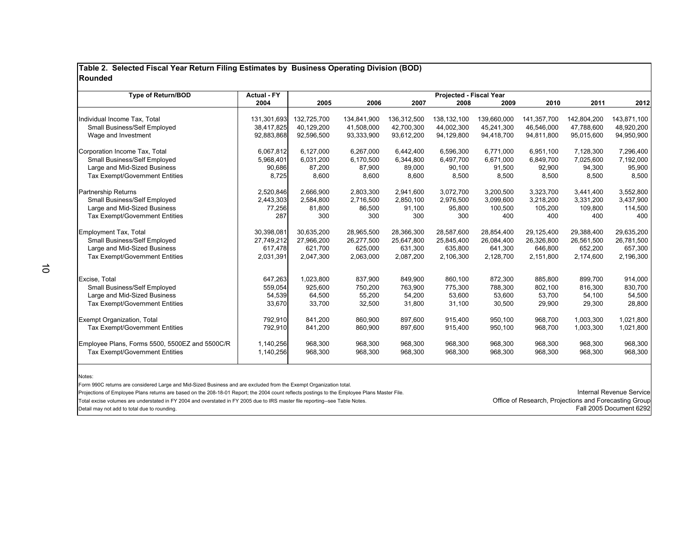#### **Table 2. Selected Fiscal Year Return Filing Estimates by Business Operating Division (BOD) Rounded**

| <b>Type of Return/BOD</b>                      | <b>Actual - FY</b> | Projected - Fiscal Year |             |             |             |             |             |             |             |
|------------------------------------------------|--------------------|-------------------------|-------------|-------------|-------------|-------------|-------------|-------------|-------------|
|                                                | 2004               | 2005                    | 2006        | 2007        | 2008        | 2009        | 2010        | 2011        | 2012        |
| Individual Income Tax, Total                   | 131,301,693        | 132.725.700             | 134,841,900 | 136,312,500 | 138,132,100 | 139.660.000 | 141.357.700 | 142.804.200 | 143,871,100 |
| Small Business/Self Employed                   | 38,417,825         | 40,129,200              | 41,508,000  | 42,700,300  | 44,002,300  | 45,241,300  | 46,546,000  | 47,788,600  | 48,920,200  |
| Wage and Investment                            | 92,883,868         | 92,596,500              | 93,333,900  | 93,612,200  | 94,129,800  | 94,418,700  | 94,811,800  | 95,015,600  | 94,950,900  |
| Corporation Income Tax, Total                  | 6,067,812          | 6,127,000               | 6,267,000   | 6,442,400   | 6,596,300   | 6,771,000   | 6,951,100   | 7,128,300   | 7,296,400   |
| Small Business/Self Employed                   | 5,968,401          | 6,031,200               | 6,170,500   | 6,344,800   | 6,497,700   | 6,671,000   | 6,849,700   | 7,025,600   | 7,192,000   |
| Large and Mid-Sized Business                   | 90,686             | 87,200                  | 87,900      | 89,000      | 90,100      | 91,500      | 92,900      | 94,300      | 95,900      |
| <b>Tax Exempt/Government Entities</b>          | 8,725              | 8,600                   | 8,600       | 8,600       | 8,500       | 8,500       | 8,500       | 8,500       | 8,500       |
| Partnership Returns                            | 2,520,846          | 2,666,900               | 2,803,300   | 2,941,600   | 3,072,700   | 3,200,500   | 3,323,700   | 3,441,400   | 3,552,800   |
| Small Business/Self Employed                   | 2,443,303          | 2,584,800               | 2,716,500   | 2,850,100   | 2,976,500   | 3,099,600   | 3,218,200   | 3,331,200   | 3,437,900   |
| Large and Mid-Sized Business                   | 77,256             | 81,800                  | 86,500      | 91,100      | 95,800      | 100,500     | 105,200     | 109,800     | 114,500     |
| <b>Tax Exempt/Government Entities</b>          | 287                | 300                     | 300         | 300         | 300         | 400         | 400         | 400         | 400         |
| Employment Tax, Total                          | 30,398,081         | 30,635,200              | 28,965,500  | 28,366,300  | 28,587,600  | 28,854,400  | 29,125,400  | 29,388,400  | 29,635,200  |
| Small Business/Self Employed                   | 27,749,212         | 27,966,200              | 26,277,500  | 25,647,800  | 25,845,400  | 26,084,400  | 26,326,800  | 26,561,500  | 26,781,500  |
| Large and Mid-Sized Business                   | 617,478            | 621.700                 | 625.000     | 631,300     | 635.800     | 641.300     | 646.800     | 652,200     | 657,300     |
| <b>Tax Exempt/Government Entities</b>          | 2,031,391          | 2,047,300               | 2,063,000   | 2,087,200   | 2,106,300   | 2,128,700   | 2,151,800   | 2,174,600   | 2,196,300   |
|                                                |                    |                         |             |             |             |             |             |             |             |
| Excise, Total                                  | 647,263            | 1,023,800               | 837,900     | 849,900     | 860.100     | 872,300     | 885.800     | 899.700     | 914,000     |
| Small Business/Self Employed                   | 559,054            | 925,600                 | 750,200     | 763,900     | 775,300     | 788,300     | 802,100     | 816,300     | 830,700     |
| Large and Mid-Sized Business                   | 54,539             | 64,500                  | 55,200      | 54,200      | 53,600      | 53,600      | 53,700      | 54,100      | 54,500      |
| <b>Tax Exempt/Government Entities</b>          | 33,670             | 33,700                  | 32,500      | 31,800      | 31,100      | 30,500      | 29,900      | 29,300      | 28,800      |
| <b>Exempt Organization, Total</b>              | 792,910            | 841.200                 | 860.900     | 897.600     | 915.400     | 950.100     | 968.700     | 1,003,300   | 1,021,800   |
| <b>Tax Exempt/Government Entities</b>          | 792,910            | 841,200                 | 860,900     | 897,600     | 915,400     | 950,100     | 968,700     | 1,003,300   | 1,021,800   |
| Employee Plans, Forms 5500, 5500EZ and 5500C/R | 1,140,256          | 968,300                 | 968,300     | 968,300     | 968,300     | 968,300     | 968,300     | 968,300     | 968,300     |
| <b>Tax Exempt/Government Entities</b>          | 1,140,256          | 968,300                 | 968,300     | 968.300     | 968,300     | 968,300     | 968,300     | 968,300     | 968,300     |

Notes:

Form 990C returns are considered Large and Mid-Sized Business and are excluded from the Exempt Organization total.

Projections of Employee Plans returns are based on the 208-18-01 Report; the 2004 count reflects postings to the Employee Plans Master File.<br>Total excise volumes are understated in FY 2004 and overstated in FY 2005 due to

Total excise volumes are understated in FY 2004 and overstated in FY 2005 due to IRS master file reporting-see Table Notes.<br>[58] Detail may not add to total due to rounding. Clear to report of the stated in FY 2005 due to

Detail may not add to total due to rounding.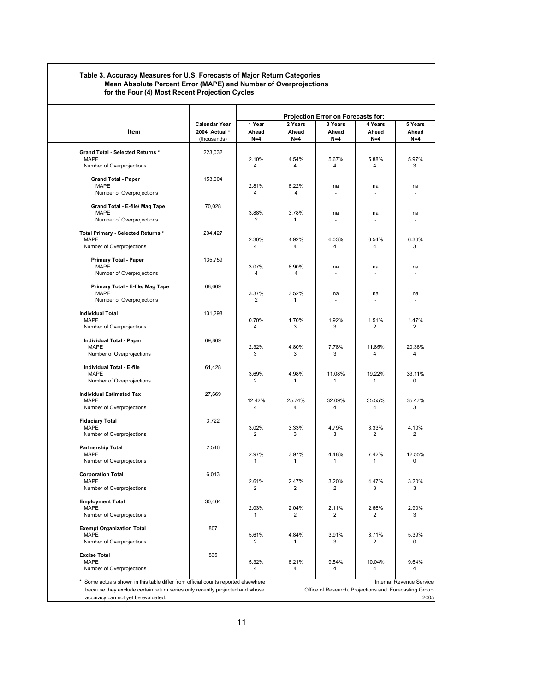#### **Table 3. Accuracy Measures for U.S. Forecasts of Major Return Categories Mean Absolute Percent Error (MAPE) and Number of Overprojections for the Four (4) Most Recent Projection Cycles**

|                                                                                 |                              | <b>Projection Error on Forecasts for:</b>          |                       |                |                                                       |                          |  |
|---------------------------------------------------------------------------------|------------------------------|----------------------------------------------------|-----------------------|----------------|-------------------------------------------------------|--------------------------|--|
|                                                                                 | <b>Calendar Year</b>         | 4 Years<br>1 Year<br>2 Years<br>3 Years<br>5 Years |                       |                |                                                       |                          |  |
| Item                                                                            | 2004 Actual *<br>(thousands) | Ahead<br>$N=4$                                     | Ahead<br>$N=4$        | Ahead<br>$N=4$ | Ahead<br>$N=4$                                        | Ahead<br>$N=4$           |  |
|                                                                                 |                              |                                                    |                       |                |                                                       |                          |  |
| <b>Grand Total - Selected Returns *</b><br><b>MAPE</b>                          | 223,032                      | 2.10%                                              | 4.54%                 | 5.67%          | 5.88%                                                 | 5.97%                    |  |
| Number of Overprojections                                                       |                              | 4                                                  | 4                     | 4              | 4                                                     | 3                        |  |
| <b>Grand Total - Paper</b>                                                      | 153,004                      |                                                    |                       |                |                                                       |                          |  |
| <b>MAPE</b>                                                                     |                              | 2.81%                                              | 6.22%                 | na             | na                                                    | na                       |  |
| Number of Overprojections                                                       |                              | 4                                                  | 4                     | ٠              |                                                       |                          |  |
| Grand Total - E-file/ Mag Tape                                                  | 70,028                       |                                                    |                       |                |                                                       |                          |  |
| <b>MAPE</b>                                                                     |                              | 3.88%                                              | 3.78%                 | na             | na                                                    | na                       |  |
| Number of Overprojections                                                       |                              | 2                                                  | 1                     |                |                                                       |                          |  |
| Total Primary - Selected Returns *                                              | 204,427                      |                                                    |                       |                |                                                       |                          |  |
| <b>MAPE</b>                                                                     |                              | 2.30%                                              | 4.92%                 | 6.03%          | 6.54%                                                 | 6.36%                    |  |
| Number of Overprojections                                                       |                              | 4                                                  | 4                     | 4              | 4                                                     | 3                        |  |
| <b>Primary Total - Paper</b>                                                    | 135,759                      |                                                    |                       |                |                                                       |                          |  |
| <b>MAPE</b><br>Number of Overprojections                                        |                              | 3.07%<br>4                                         | 6.90%<br>4            | na             | na                                                    | na                       |  |
|                                                                                 |                              |                                                    |                       |                |                                                       |                          |  |
| Primary Total - E-file/ Mag Tape                                                | 68,669                       |                                                    |                       |                |                                                       |                          |  |
| <b>MAPE</b><br>Number of Overprojections                                        |                              | 3.37%<br>$\overline{2}$                            | 3.52%<br>$\mathbf{1}$ | na<br>٠        | na                                                    | na                       |  |
|                                                                                 |                              |                                                    |                       |                |                                                       |                          |  |
| <b>Individual Total</b><br><b>MAPE</b>                                          | 131,298                      | 0.70%                                              | 1.70%                 | 1.92%          | 1.51%                                                 | 1.47%                    |  |
| Number of Overprojections                                                       |                              | 4                                                  | 3                     | 3              | $\overline{2}$                                        | 2                        |  |
| <b>Individual Total - Paper</b>                                                 | 69,869                       |                                                    |                       |                |                                                       |                          |  |
| <b>MAPE</b>                                                                     |                              | 2.32%                                              | 4.80%                 | 7.78%          | 11.85%                                                | 20.36%                   |  |
| Number of Overprojections                                                       |                              | 3                                                  | 3                     | 3              | 4                                                     | 4                        |  |
| Individual Total - E-file                                                       | 61,428                       |                                                    |                       |                |                                                       |                          |  |
| <b>MAPE</b>                                                                     |                              | 3.69%                                              | 4.98%                 | 11.08%         | 19.22%                                                | 33.11%                   |  |
| Number of Overprojections                                                       |                              | $\overline{2}$                                     | $\mathbf{1}$          | $\mathbf{1}$   | 1                                                     | 0                        |  |
| <b>Individual Estimated Tax</b>                                                 | 27,669                       |                                                    |                       |                |                                                       |                          |  |
| <b>MAPE</b><br>Number of Overprojections                                        |                              | 12.42%<br>4                                        | 25.74%<br>4           | 32.09%<br>4    | 35.55%<br>4                                           | 35.47%<br>3              |  |
|                                                                                 |                              |                                                    |                       |                |                                                       |                          |  |
| <b>Fiduciary Total</b><br><b>MAPE</b>                                           | 3,722                        | 3.02%                                              | 3.33%                 | 4.79%          | 3.33%                                                 | 4.10%                    |  |
| Number of Overprojections                                                       |                              | $\overline{2}$                                     | 3                     | 3              | $\overline{2}$                                        | $\overline{2}$           |  |
|                                                                                 |                              |                                                    |                       |                |                                                       |                          |  |
| <b>Partnership Total</b><br><b>MAPE</b>                                         | 2,546                        | 2.97%                                              | 3.97%                 | 4.48%          | 7.42%                                                 | 12.55%                   |  |
| Number of Overprojections                                                       |                              | 1                                                  | 1                     | 1              | $\mathbf{1}$                                          | 0                        |  |
| <b>Corporation Total</b>                                                        | 6,013                        |                                                    |                       |                |                                                       |                          |  |
| <b>MAPE</b>                                                                     |                              | 2.61%                                              | 2.47%                 | 3.20%          | 4.47%                                                 | 3.20%                    |  |
| Number of Overprojections                                                       |                              | 2                                                  | $\overline{2}$        | 2              | 3                                                     | 3                        |  |
| <b>Employment Total</b>                                                         | 30,464                       |                                                    |                       |                |                                                       |                          |  |
| <b>MAPE</b>                                                                     |                              | 2.03%                                              | 2.04%                 | 2.11%          | 2.66%                                                 | 2.90%                    |  |
| Number of Overprojections                                                       |                              | 1                                                  | 2                     | 2              | 2                                                     | 3                        |  |
| <b>Exempt Organization Total</b>                                                | 807                          |                                                    |                       |                |                                                       |                          |  |
| <b>MAPE</b><br>Number of Overprojections                                        |                              | 5.61%<br>2                                         | 4.84%<br>$\mathbf{1}$ | 3.91%<br>3     | 8.71%<br>2                                            | 5.39%<br>0               |  |
| <b>Excise Total</b>                                                             | 835                          |                                                    |                       |                |                                                       |                          |  |
| <b>MAPE</b>                                                                     |                              | 5.32%                                              | 6.21%                 | 9.54%          | 10.04%                                                | 9.64%                    |  |
| Number of Overprojections                                                       |                              | 4                                                  | 4                     | 4              | 4                                                     | 4                        |  |
| Some actuals shown in this table differ from official counts reported elsewhere |                              |                                                    |                       |                |                                                       | Internal Revenue Service |  |
| because they exclude certain return series only recently projected and whose    |                              |                                                    |                       |                | Office of Research, Projections and Forecasting Group |                          |  |
| accuracy can not yet be evaluated.                                              |                              |                                                    |                       |                |                                                       |                          |  |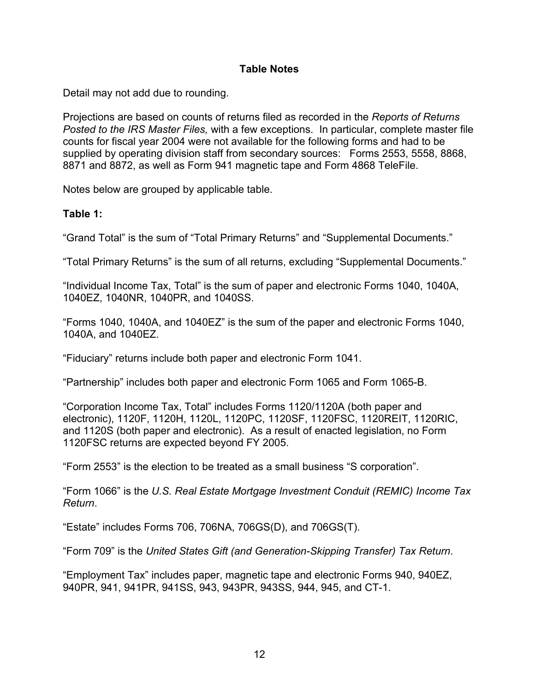#### **Table Notes**

Detail may not add due to rounding.

Projections are based on counts of returns filed as recorded in the *Reports of Returns Posted to the IRS Master Files,* with a few exceptions. In particular, complete master file counts for fiscal year 2004 were not available for the following forms and had to be supplied by operating division staff from secondary sources: Forms 2553, 5558, 8868, 8871 and 8872, as well as Form 941 magnetic tape and Form 4868 TeleFile.

Notes below are grouped by applicable table.

#### **Table 1:**

"Grand Total" is the sum of "Total Primary Returns" and "Supplemental Documents."

"Total Primary Returns" is the sum of all returns, excluding "Supplemental Documents."

"Individual Income Tax, Total" is the sum of paper and electronic Forms 1040, 1040A, 1040EZ, 1040NR, 1040PR, and 1040SS.

"Forms 1040, 1040A, and 1040EZ" is the sum of the paper and electronic Forms 1040, 1040A, and 1040EZ.

"Fiduciary" returns include both paper and electronic Form 1041.

"Partnership" includes both paper and electronic Form 1065 and Form 1065-B.

"Corporation Income Tax, Total" includes Forms 1120/1120A (both paper and electronic), 1120F, 1120H, 1120L, 1120PC, 1120SF, 1120FSC, 1120REIT, 1120RIC, and 1120S (both paper and electronic). As a result of enacted legislation, no Form 1120FSC returns are expected beyond FY 2005.

"Form 2553" is the election to be treated as a small business "S corporation".

"Form 1066" is the *U.S. Real Estate Mortgage Investment Conduit (REMIC) Income Tax Return*.

"Estate" includes Forms 706, 706NA, 706GS(D), and 706GS(T).

"Form 709" is the *United States Gift (and Generation-Skipping Transfer) Tax Return*.

"Employment Tax" includes paper, magnetic tape and electronic Forms 940, 940EZ, 940PR, 941, 941PR, 941SS, 943, 943PR, 943SS, 944, 945, and CT-1.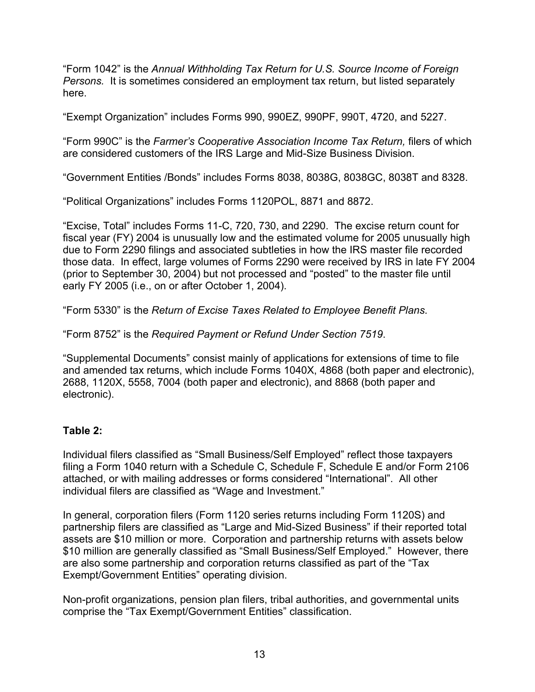"Form 1042" is the *Annual Withholding Tax Return for U.S. Source Income of Foreign Persons.* It is sometimes considered an employment tax return, but listed separately here.

"Exempt Organization" includes Forms 990, 990EZ, 990PF, 990T, 4720, and 5227.

"Form 990C" is the *Farmer's Cooperative Association Income Tax Return,* filers of which are considered customers of the IRS Large and Mid-Size Business Division.

"Government Entities /Bonds" includes Forms 8038, 8038G, 8038GC, 8038T and 8328.

"Political Organizations" includes Forms 1120POL, 8871 and 8872.

"Excise, Total" includes Forms 11-C, 720, 730, and 2290. The excise return count for fiscal year (FY) 2004 is unusually low and the estimated volume for 2005 unusually high due to Form 2290 filings and associated subtleties in how the IRS master file recorded those data. In effect, large volumes of Forms 2290 were received by IRS in late FY 2004 (prior to September 30, 2004) but not processed and "posted" to the master file until early FY 2005 (i.e., on or after October 1, 2004).

"Form 5330" is the *Return of Excise Taxes Related to Employee Benefit Plans*.

"Form 8752" is the *Required Payment or Refund Under Section 7519*.

"Supplemental Documents" consist mainly of applications for extensions of time to file and amended tax returns, which include Forms 1040X, 4868 (both paper and electronic), 2688, 1120X, 5558, 7004 (both paper and electronic), and 8868 (both paper and electronic).

## **Table 2:**

Individual filers classified as "Small Business/Self Employed" reflect those taxpayers filing a Form 1040 return with a Schedule C, Schedule F, Schedule E and/or Form 2106 attached, or with mailing addresses or forms considered "International". All other individual filers are classified as "Wage and Investment."

In general, corporation filers (Form 1120 series returns including Form 1120S) and partnership filers are classified as "Large and Mid-Sized Business" if their reported total assets are \$10 million or more. Corporation and partnership returns with assets below \$10 million are generally classified as "Small Business/Self Employed." However, there are also some partnership and corporation returns classified as part of the "Tax Exempt/Government Entities" operating division.

Non-profit organizations, pension plan filers, tribal authorities, and governmental units comprise the "Tax Exempt/Government Entities" classification.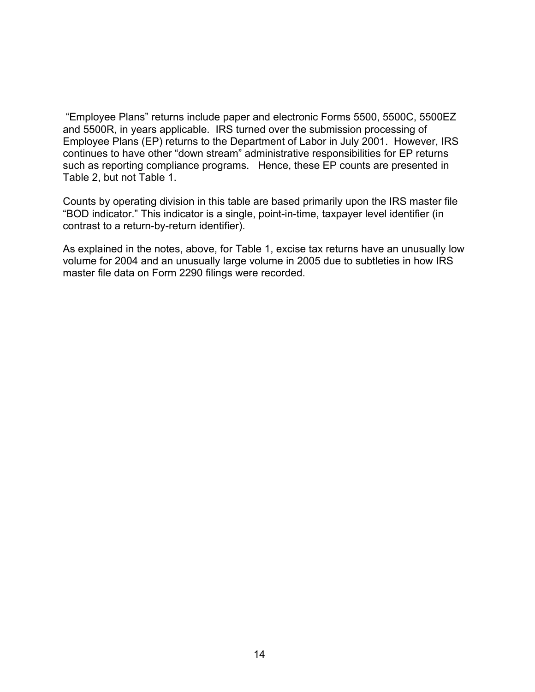"Employee Plans" returns include paper and electronic Forms 5500, 5500C, 5500EZ and 5500R, in years applicable. IRS turned over the submission processing of Employee Plans (EP) returns to the Department of Labor in July 2001. However, IRS continues to have other "down stream" administrative responsibilities for EP returns such as reporting compliance programs. Hence, these EP counts are presented in Table 2, but not Table 1.

Counts by operating division in this table are based primarily upon the IRS master file "BOD indicator." This indicator is a single, point-in-time, taxpayer level identifier (in contrast to a return-by-return identifier).

As explained in the notes, above, for Table 1, excise tax returns have an unusually low volume for 2004 and an unusually large volume in 2005 due to subtleties in how IRS master file data on Form 2290 filings were recorded.